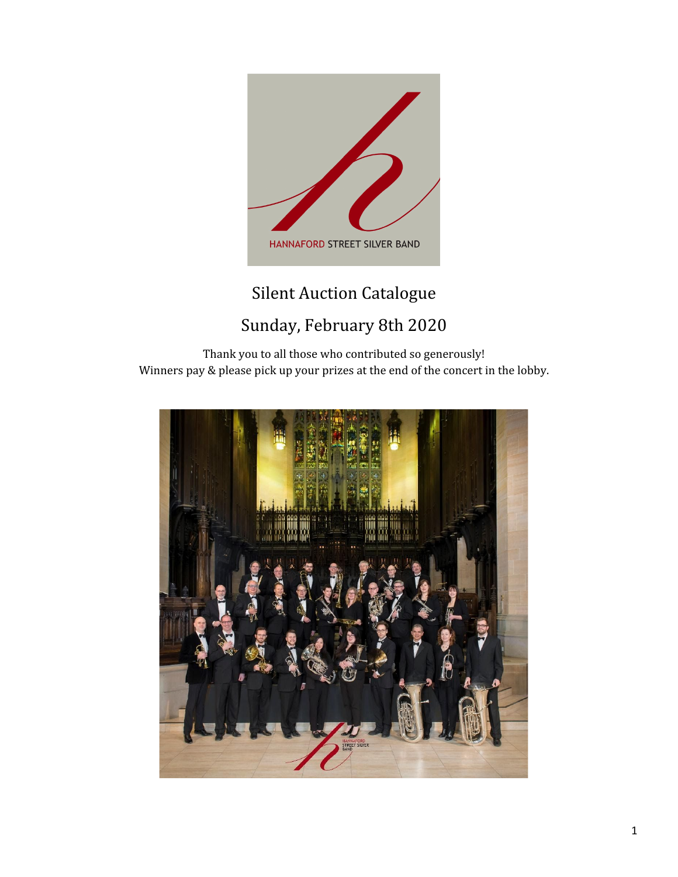

# Silent Auction Catalogue Sunday, February 8th 2020

Thank you to all those who contributed so generously! Winners pay & please pick up your prizes at the end of the concert in the lobby.

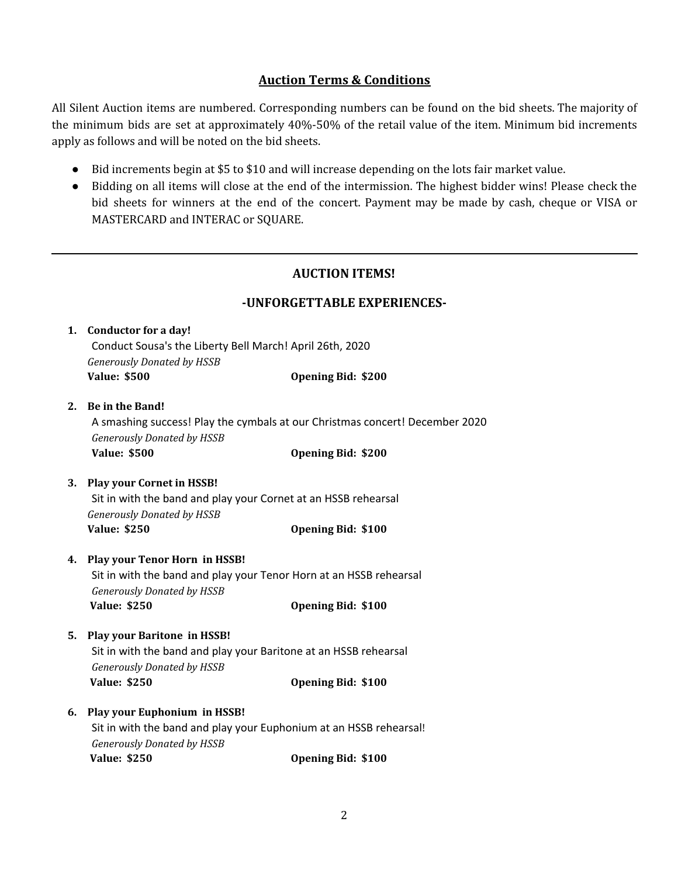## **Auction Terms & Conditions**

All Silent Auction items are numbered. Corresponding numbers can be found on the bid sheets. The majority of the minimum bids are set at approximately 40%-50% of the retail value of the item. Minimum bid increments apply as follows and will be noted on the bid sheets.

- Bid increments begin at \$5 to \$10 and will increase depending on the lots fair market value.
- Bidding on all items will close at the end of the intermission. The highest bidder wins! Please check the bid sheets for winners at the end of the concert. Payment may be made by cash, cheque or VISA or MASTERCARD and INTERAC or SQUARE.

### **AUCTION ITEMS!**

#### **-UNFORGETTABLE EXPERIENCES-**

| <b>Conductor for a day!</b><br>1. |                                                                    |                                                                              |  |
|-----------------------------------|--------------------------------------------------------------------|------------------------------------------------------------------------------|--|
|                                   | Conduct Sousa's the Liberty Bell March! April 26th, 2020           |                                                                              |  |
|                                   | <b>Generously Donated by HSSB</b>                                  |                                                                              |  |
|                                   | <b>Value: \$500</b>                                                | <b>Opening Bid: \$200</b>                                                    |  |
| 2.                                | <b>Be in the Band!</b>                                             |                                                                              |  |
|                                   |                                                                    | A smashing success! Play the cymbals at our Christmas concert! December 2020 |  |
|                                   | <b>Generously Donated by HSSB</b>                                  |                                                                              |  |
|                                   | <b>Value: \$500</b>                                                | <b>Opening Bid: \$200</b>                                                    |  |
| 3.                                | <b>Play your Cornet in HSSB!</b>                                   |                                                                              |  |
|                                   | Sit in with the band and play your Cornet at an HSSB rehearsal     |                                                                              |  |
|                                   | <b>Generously Donated by HSSB</b>                                  |                                                                              |  |
|                                   | <b>Value: \$250</b>                                                | <b>Opening Bid: \$100</b>                                                    |  |
| 4.                                | Play your Tenor Horn in HSSB!                                      |                                                                              |  |
|                                   | Sit in with the band and play your Tenor Horn at an HSSB rehearsal |                                                                              |  |
|                                   | <b>Generously Donated by HSSB</b>                                  |                                                                              |  |
|                                   | <b>Value: \$250</b>                                                | <b>Opening Bid: \$100</b>                                                    |  |
| 5.                                | <b>Play your Baritone in HSSB!</b>                                 |                                                                              |  |
|                                   | Sit in with the band and play your Baritone at an HSSB rehearsal   |                                                                              |  |
|                                   | <b>Generously Donated by HSSB</b>                                  |                                                                              |  |
|                                   | <b>Value: \$250</b>                                                | <b>Opening Bid: \$100</b>                                                    |  |
| 6.                                | <b>Play your Euphonium in HSSB!</b>                                |                                                                              |  |
|                                   | Sit in with the band and play your Euphonium at an HSSB rehearsal! |                                                                              |  |
|                                   | <b>Generously Donated by HSSB</b>                                  |                                                                              |  |
|                                   | <b>Value: \$250</b>                                                | <b>Opening Bid: \$100</b>                                                    |  |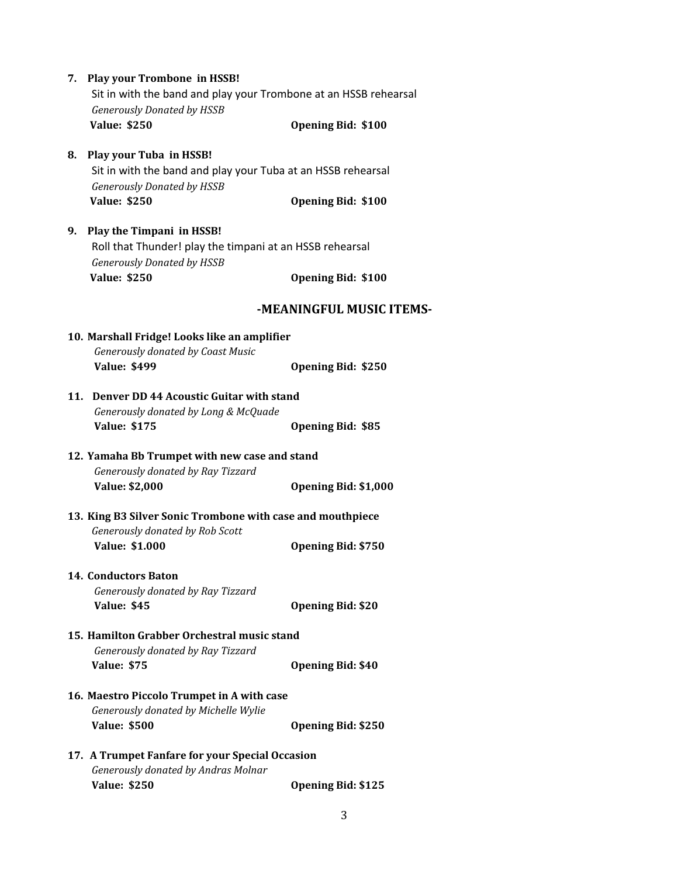| 7. Play your Trombone in HSSB!<br>Sit in with the band and play your Trombone at an HSSB rehearsal<br><b>Generously Donated by HSSB</b> |                           |
|-----------------------------------------------------------------------------------------------------------------------------------------|---------------------------|
| <b>Value: \$250</b>                                                                                                                     | <b>Opening Bid: \$100</b> |
| 8. Play your Tuba in HSSB!<br>Sit in with the band and play your Tuba at an HSSB rehearsal<br><b>Generously Donated by HSSB</b>         |                           |
| <b>Value: \$250</b>                                                                                                                     | Opening Bid: \$100        |
| 9. Play the Timpani in HSSB!<br>Roll that Thunder! play the timpani at an HSSB rehearsal<br><b>Generously Donated by HSSB</b>           |                           |
| <b>Value: \$250</b>                                                                                                                     | <b>Opening Bid: \$100</b> |
|                                                                                                                                         | -MEANINGFUL MUSIC ITEMS-  |
| 10. Marshall Fridge! Looks like an amplifier<br><b>Generously donated by Coast Music</b>                                                |                           |
| <b>Value: \$499</b>                                                                                                                     | <b>Opening Bid: \$250</b> |
| 11. Denver DD 44 Acoustic Guitar with stand<br>Generously donated by Long & McQuade                                                     |                           |
| <b>Value: \$175</b>                                                                                                                     | <b>Opening Bid: \$85</b>  |
| 12. Yamaha Bb Trumpet with new case and stand<br>Generously donated by Ray Tizzard                                                      |                           |
| <b>Value: \$2,000</b>                                                                                                                   | Opening Bid: \$1,000      |
| 13. King B3 Silver Sonic Trombone with case and mouthpiece<br>Generously donated by Rob Scott                                           |                           |
| <b>Value: \$1.000</b>                                                                                                                   | <b>Opening Bid: \$750</b> |
| <b>14. Conductors Baton</b><br>Generously donated by Ray Tizzard<br><b>Value: \$45</b>                                                  | <b>Opening Bid: \$20</b>  |
|                                                                                                                                         |                           |
| 15. Hamilton Grabber Orchestral music stand<br>Generously donated by Ray Tizzard<br><b>Value: \$75</b>                                  |                           |
|                                                                                                                                         | <b>Opening Bid: \$40</b>  |
| 16. Maestro Piccolo Trumpet in A with case<br>Generously donated by Michelle Wylie<br><b>Value: \$500</b>                               | <b>Opening Bid: \$250</b> |
| 17. A Trumpet Fanfare for your Special Occasion                                                                                         |                           |
| Generously donated by Andras Molnar<br><b>Value: \$250</b>                                                                              | <b>Opening Bid: \$125</b> |
|                                                                                                                                         |                           |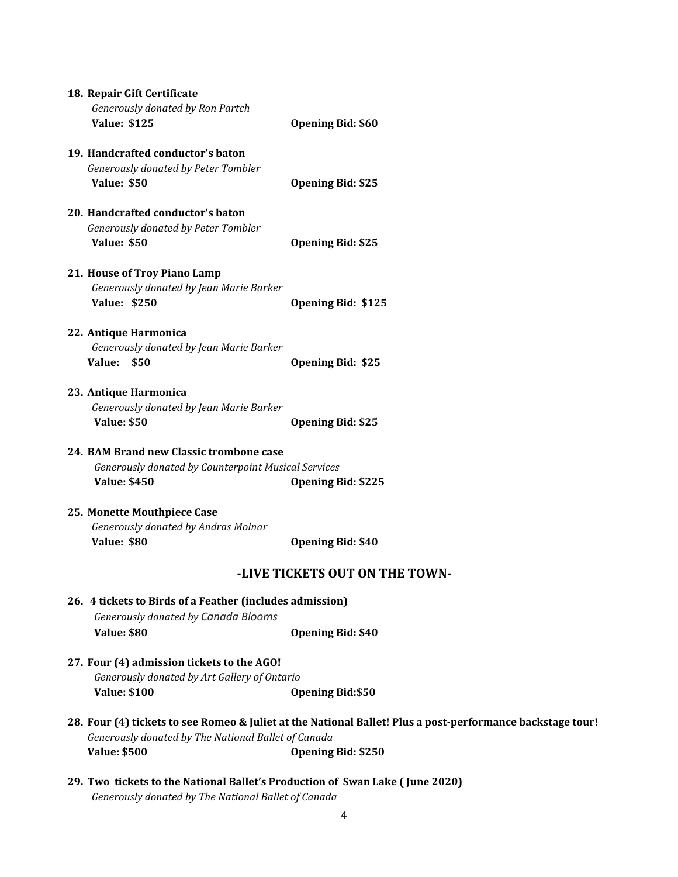| 18. Repair Gift Certificate<br>Generously donated by Ron Partch              |                                                                                                            |
|------------------------------------------------------------------------------|------------------------------------------------------------------------------------------------------------|
| <b>Value: \$125</b>                                                          | <b>Opening Bid: \$60</b>                                                                                   |
| 19. Handcrafted conductor's baton                                            |                                                                                                            |
| Generously donated by Peter Tombler                                          |                                                                                                            |
| <b>Value: \$50</b>                                                           | <b>Opening Bid: \$25</b>                                                                                   |
| 20. Handcrafted conductor's baton                                            |                                                                                                            |
| Generously donated by Peter Tombler                                          |                                                                                                            |
| <b>Value: \$50</b>                                                           | <b>Opening Bid: \$25</b>                                                                                   |
| 21. House of Troy Piano Lamp                                                 |                                                                                                            |
| Generously donated by Jean Marie Barker                                      |                                                                                                            |
| <b>Value: \$250</b>                                                          | <b>Opening Bid: \$125</b>                                                                                  |
| 22. Antique Harmonica                                                        |                                                                                                            |
| Generously donated by Jean Marie Barker                                      |                                                                                                            |
| Value:<br>\$50                                                               | <b>Opening Bid: \$25</b>                                                                                   |
| 23. Antique Harmonica                                                        |                                                                                                            |
| Generously donated by Jean Marie Barker                                      |                                                                                                            |
| <b>Value: \$50</b>                                                           | <b>Opening Bid: \$25</b>                                                                                   |
| 24. BAM Brand new Classic trombone case                                      |                                                                                                            |
| Generously donated by Counterpoint Musical Services                          |                                                                                                            |
| <b>Value: \$450</b>                                                          | <b>Opening Bid: \$225</b>                                                                                  |
| 25. Monette Mouthpiece Case                                                  |                                                                                                            |
| Generously donated by Andras Molnar                                          |                                                                                                            |
| <b>Value: \$80</b>                                                           | <b>Opening Bid: \$40</b>                                                                                   |
|                                                                              | -LIVE TICKETS OUT ON THE TOWN-                                                                             |
| 26. 4 tickets to Birds of a Feather (includes admission)                     |                                                                                                            |
| Generously donated by Canada Blooms                                          |                                                                                                            |
| <b>Value: \$80</b>                                                           | <b>Opening Bid: \$40</b>                                                                                   |
| 27. Four (4) admission tickets to the AGO!                                   |                                                                                                            |
| Generously donated by Art Gallery of Ontario                                 |                                                                                                            |
| <b>Value: \$100</b>                                                          | <b>Opening Bid:\$50</b>                                                                                    |
| Generously donated by The National Ballet of Canada                          | 28. Four (4) tickets to see Romeo & Juliet at the National Ballet! Plus a post-performance backstage tour! |
| <b>Value: \$500</b>                                                          | <b>Opening Bid: \$250</b>                                                                                  |
|                                                                              |                                                                                                            |
| 29. Two tickets to the National Ballet's Production of Swan Lake (June 2020) |                                                                                                            |

*Generously donated by The National Ballet of Canada*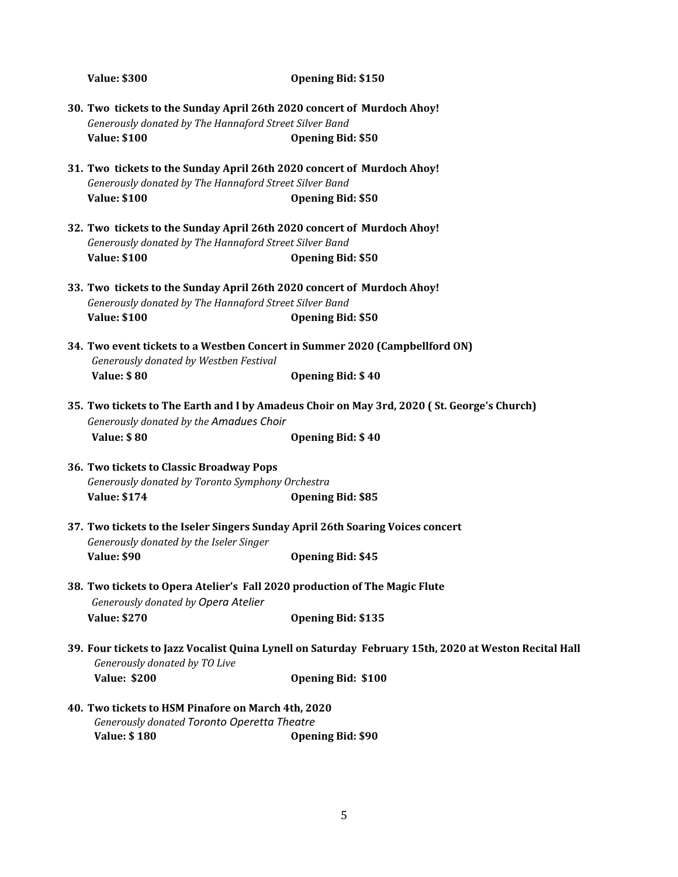**Value: \$300 Opening Bid: \$150 30. Two tickets to the Sunday April 26th 2020 concert of Murdoch Ahoy!** *Generously donated by The Hannaford Street Silver Band* **Value: \$100 Opening Bid: \$50 31. Two tickets to the Sunday April 26th 2020 concert of Murdoch Ahoy!** *Generously donated by The Hannaford Street Silver Band* **Value: \$100 Opening Bid: \$50 32. Two tickets to the Sunday April 26th 2020 concert of Murdoch Ahoy!** *Generously donated by The Hannaford Street Silver Band* **Value: \$100 Opening Bid: \$50 33. Two tickets to the Sunday April 26th 2020 concert of Murdoch Ahoy!** *Generously donated by The Hannaford Street Silver Band* **Value: \$100 Opening Bid: \$50 34. Two event tickets to a Westben Concert in Summer 2020 (Campbellford ON)** *Generously donated by Westben Festival* **Value: \$ 80 Opening Bid: \$ 40 35. Two tickets to The Earth and I by Amadeus Choir on May 3rd, 2020 ( St. George's Church)** *Generously donated by the Amadues Choir* **Value: \$ 80 Opening Bid: \$ 40 36. Two tickets to Classic Broadway Pops** *Generously donated by Toronto Symphony Orchestra* **Value: \$174 Opening Bid: \$85 37. Two tickets to the Iseler Singers Sunday April 26th Soaring Voices concert** *Generously donated by the Iseler Singer* **Value: \$90 Opening Bid: \$45 38. Two tickets to Opera Atelier's Fall 2020 production of The Magic Flute** *Generously donated by Opera Atelier* **Value: \$270 Opening Bid: \$135 39. Four tickets to Jazz Vocalist Quina Lynell on Saturday February 15th, 2020 at Weston Recital Hall** *Generously donated by TO Live* **Value: \$200 Opening Bid: \$100 40. Two tickets to HSM Pinafore on March 4th, 2020** *Generously donated Toronto Operetta Theatre* **Value: \$ 180 Opening Bid: \$90**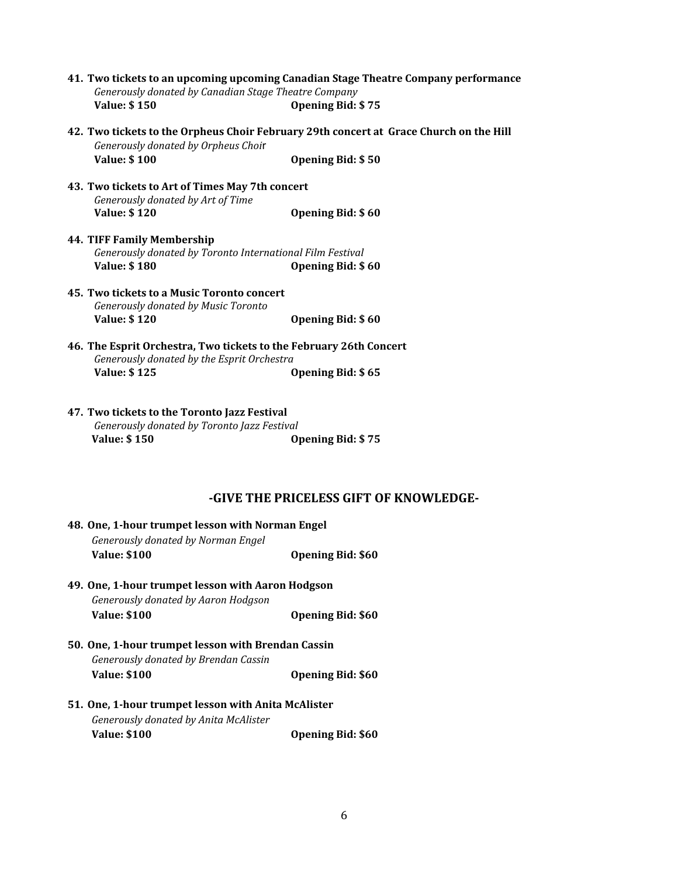- **41. Two tickets to an upcoming upcoming Canadian Stage Theatre Company performance** *Generously donated by Canadian Stage Theatre Company* **Value: \$ 150 Opening Bid: \$ 75**
- **42. Two tickets to the Orpheus Choir February 29th concert at Grace Church on the Hill** *Generously donated by Orpheus Choi*r **Value: \$ 100 Opening Bid: \$ 50**
- **43. Two tickets to Art of Times May 7th concert** *Generously donated by Art of Time* **Value: \$ 120 Opening Bid: \$ 60**
- **44. TIFF Family Membership** *Generously donated by Toronto International Film Festival* **Value: \$ 180 Opening Bid: \$ 60**
- **45. Two tickets to a Music Toronto concert** *Generously donated by Music Toronto* **Value: \$ 120 Opening Bid: \$ 60**
- **46. The Esprit Orchestra, Two tickets to the February 26th Concert** *Generously donated by the Esprit Orchestra* **Value: \$ 125 Opening Bid: \$ 65**
- **47. Two tickets to the Toronto Jazz Festival** *Generously donated by Toronto Jazz Festival* **Value: \$ 150 Opening Bid: \$ 75**

#### **-GIVE THE PRICELESS GIFT OF KNOWLEDGE-**

| 48. One, 1-hour trumpet lesson with Norman Engel<br>Generously donated by Norman Engel |                          |  |
|----------------------------------------------------------------------------------------|--------------------------|--|
| <b>Value: \$100</b>                                                                    | <b>Opening Bid: \$60</b> |  |
| 49. One, 1-hour trumpet lesson with Aaron Hodgson                                      |                          |  |
| Generously donated by Aaron Hodgson                                                    |                          |  |
| <b>Value: \$100</b>                                                                    | <b>Opening Bid: \$60</b> |  |
| 50. One, 1-hour trumpet lesson with Brendan Cassin                                     |                          |  |
| Generously donated by Brendan Cassin                                                   |                          |  |
| <b>Value: \$100</b>                                                                    | <b>Opening Bid: \$60</b> |  |
| 51. One, 1-hour trumpet lesson with Anita McAlister                                    |                          |  |
| Generously donated by Anita McAlister                                                  |                          |  |
| <b>Value: \$100</b>                                                                    | <b>Opening Bid: \$60</b> |  |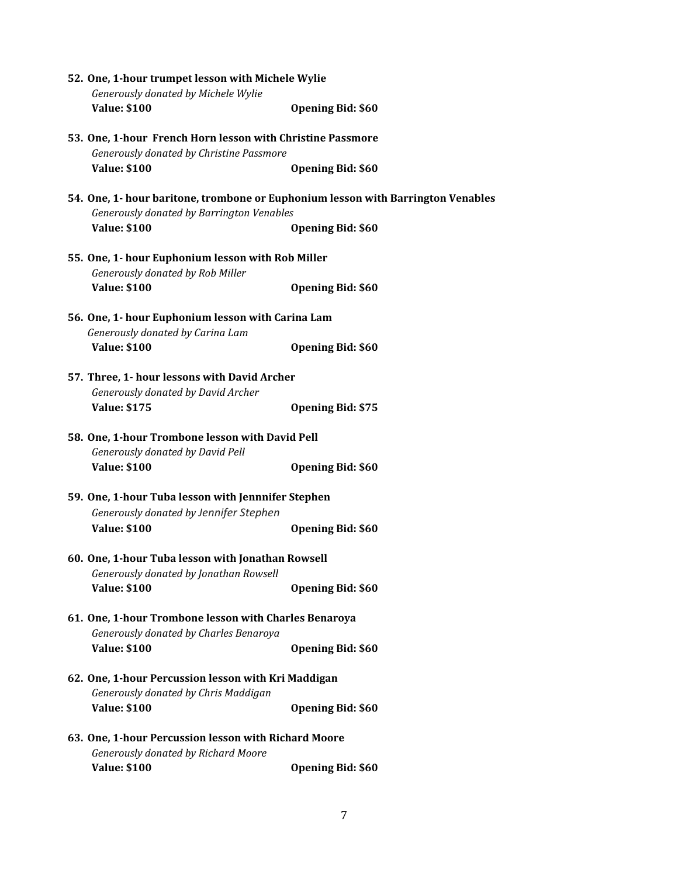| 52. One, 1-hour trumpet lesson with Michele Wylie                                                                             |                          |  |
|-------------------------------------------------------------------------------------------------------------------------------|--------------------------|--|
| Generously donated by Michele Wylie                                                                                           |                          |  |
| <b>Value: \$100</b>                                                                                                           | <b>Opening Bid: \$60</b> |  |
| 53. One, 1-hour French Horn lesson with Christine Passmore<br>Generously donated by Christine Passmore                        |                          |  |
| <b>Value: \$100</b>                                                                                                           | <b>Opening Bid: \$60</b> |  |
| 54. One, 1- hour baritone, trombone or Euphonium lesson with Barrington Venables<br>Generously donated by Barrington Venables |                          |  |
| <b>Value: \$100</b>                                                                                                           | <b>Opening Bid: \$60</b> |  |
| 55. One, 1- hour Euphonium lesson with Rob Miller<br>Generously donated by Rob Miller                                         |                          |  |
| <b>Value: \$100</b>                                                                                                           | <b>Opening Bid: \$60</b> |  |
| 56. One, 1- hour Euphonium lesson with Carina Lam<br>Generously donated by Carina Lam                                         |                          |  |
| <b>Value: \$100</b>                                                                                                           | <b>Opening Bid: \$60</b> |  |
| 57. Three, 1- hour lessons with David Archer<br>Generously donated by David Archer                                            |                          |  |
| <b>Value: \$175</b>                                                                                                           | <b>Opening Bid: \$75</b> |  |
| 58. One, 1-hour Trombone lesson with David Pell<br>Generously donated by David Pell                                           |                          |  |
| <b>Value: \$100</b>                                                                                                           | <b>Opening Bid: \$60</b> |  |
| 59. One, 1-hour Tuba lesson with Jennnifer Stephen<br>Generously donated by Jennifer Stephen                                  |                          |  |
| <b>Value: \$100</b>                                                                                                           | <b>Opening Bid: \$60</b> |  |
| 60. One, 1-hour Tuba lesson with Jonathan Rowsell<br>Generously donated by Jonathan Rowsell                                   |                          |  |
| <b>Value: \$100</b>                                                                                                           | <b>Opening Bid: \$60</b> |  |
| 61. One, 1-hour Trombone lesson with Charles Benaroya<br>Generously donated by Charles Benaroya                               |                          |  |
| <b>Value: \$100</b>                                                                                                           | <b>Opening Bid: \$60</b> |  |
| 62. One, 1-hour Percussion lesson with Kri Maddigan<br>Generously donated by Chris Maddigan                                   |                          |  |
| <b>Value: \$100</b>                                                                                                           | <b>Opening Bid: \$60</b> |  |
| 63. One, 1-hour Percussion lesson with Richard Moore<br>Generously donated by Richard Moore                                   |                          |  |
| <b>Value: \$100</b>                                                                                                           | <b>Opening Bid: \$60</b> |  |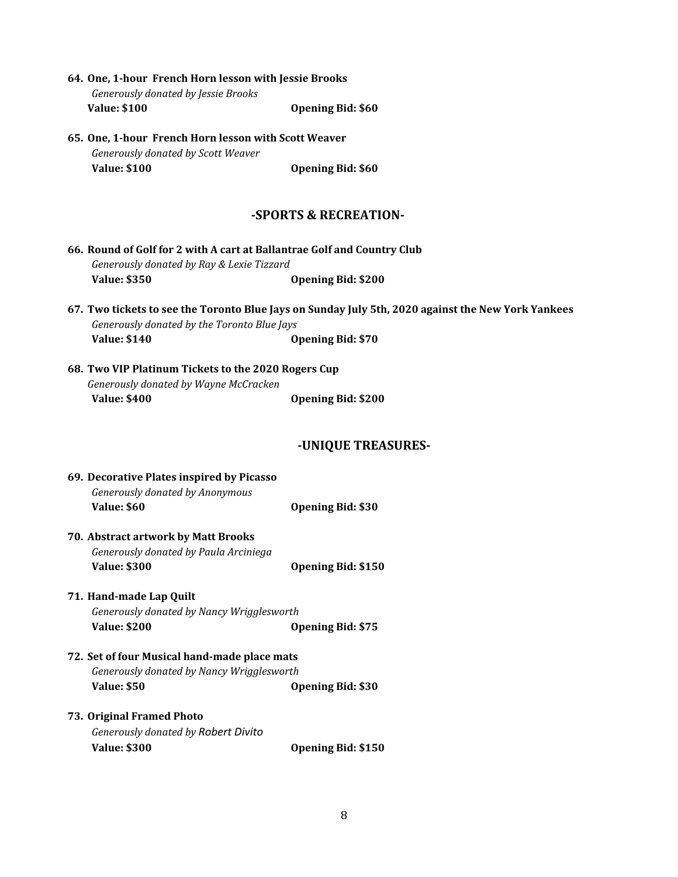| 64. One, 1-hour French Horn lesson with Jessie Brooks |                          |
|-------------------------------------------------------|--------------------------|
| Generously donated by Jessie Brooks                   |                          |
| <b>Value: \$100</b>                                   | <b>Opening Bid: \$60</b> |

**65. One, 1-hour French Horn lesson with Scott Weaver** *Generously donated by Scott Weaver* **Value: \$100 Opening Bid: \$60**

## **-SPORTS & RECREATION-**

|                                           | 66. Round of Golf for 2 with A cart at Ballantrae Golf and Country Club |
|-------------------------------------------|-------------------------------------------------------------------------|
| Generously donated by Ray & Lexie Tizzard |                                                                         |
| <b>Value: \$350</b>                       | <b>Opening Bid: \$200</b>                                               |

- 67. Two tickets to see the Toronto Blue Jays on Sunday July 5th, 2020 against the New York Yankees *Generously donated by the Toronto Blue Jays* **Value: \$140 Opening Bid: \$70**
- **68. Two VIP Platinum Tickets to the 2020 Rogers Cup** *Generously donated by Wayne McCracken* **Value: \$400 Opening Bid: \$200**

## **-UNIQUE TREASURES-**

| 69. Decorative Plates inspired by Picasso<br>Generously donated by Anonymous |                           |
|------------------------------------------------------------------------------|---------------------------|
| Value: \$60                                                                  | <b>Opening Bid: \$30</b>  |
| 70. Abstract artwork by Matt Brooks                                          |                           |
| Generously donated by Paula Arciniega                                        |                           |
| <b>Value: \$300</b>                                                          | <b>Opening Bid: \$150</b> |
| 71. Hand-made Lap Quilt                                                      |                           |
| Generously donated by Nancy Wrigglesworth                                    |                           |
| <b>Value: \$200</b>                                                          | <b>Opening Bid: \$75</b>  |
| 72. Set of four Musical hand-made place mats                                 |                           |
| Generously donated by Nancy Wrigglesworth                                    |                           |
| <b>Value: \$50</b>                                                           | <b>Opening Bid: \$30</b>  |
| 73. Original Framed Photo                                                    |                           |
| <b>Generously donated by Robert Divito</b>                                   |                           |
| <b>Value: \$300</b>                                                          | <b>Opening Bid: \$150</b> |
|                                                                              |                           |